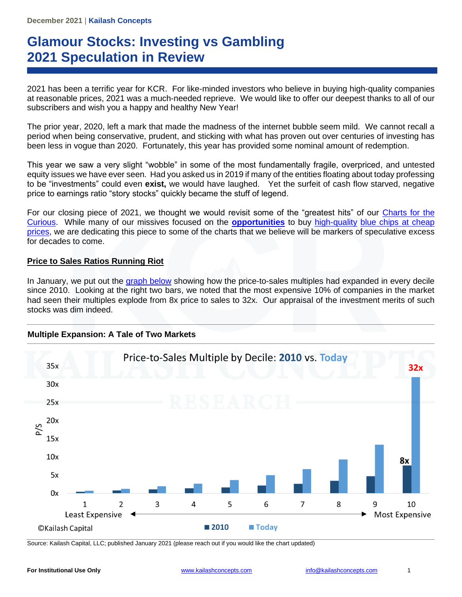# **Glamour Stocks: Investing vs Gambling 2021 Speculation in Review**

2021 has been a terrific year for KCR. For like-minded investors who believe in buying high-quality companies at reasonable prices, 2021 was a much-needed reprieve. We would like to offer our deepest thanks to all of our subscribers and wish you a happy and healthy New Year!

The prior year, 2020, left a mark that made the madness of the internet bubble seem mild. We cannot recall a period when being conservative, prudent, and sticking with what has proven out over centuries of investing has been less in vogue than 2020. Fortunately, this year has provided some nominal amount of redemption.

This year we saw a very slight "wobble" in some of the most fundamentally fragile, overpriced, and untested equity issues we have ever seen. Had you asked us in 2019 if many of the entities floating about today professing to be "investments" could even **exist,** we would have laughed. Yet the surfeit of cash flow starved, negative price to earnings ratio "story stocks" quickly became the stuff of legend.

For our closing piece of 2021, we thought we would revisit some of the "greatest hits" of our [Charts for the](https://kailashconcepts.com/charts-for-the-curious/)  [Curious.](https://kailashconcepts.com/charts-for-the-curious/) While many of our missives focused on the **[opportunities](https://kailashconcepts.com/white-papers/growth-vs-income-investing-why-choose/)** to buy [high-quality](https://kailashconcepts.com/white-papers/finding-the-safest-investments-with-the-highest-returns/) [blue chips at cheap](https://kailashconcepts.com/white-papers/the-case-for-buying-what-you-know-and-need-staples-and-the-power-of-the-prosaic/)  [prices,](https://kailashconcepts.com/white-papers/the-case-for-buying-what-you-know-and-need-staples-and-the-power-of-the-prosaic/) we are dedicating this piece to some of the charts that we believe will be markers of speculative excess for decades to come.

### **Price to Sales Ratios Running Riot**

In January, we put out the [graph below](https://kailashconcepts.com/multiple-expansion-a-tale-of-two-markets/) showing how the price-to-sales multiples had expanded in every decile since 2010. Looking at the right two bars, we noted that the most expensive 10% of companies in the market had seen their multiples explode from 8x price to sales to 32x. Our appraisal of the investment merits of such stocks was dim indeed.



Source: Kailash Capital, LLC; published January 2021 (please reach out if you would like the chart updated)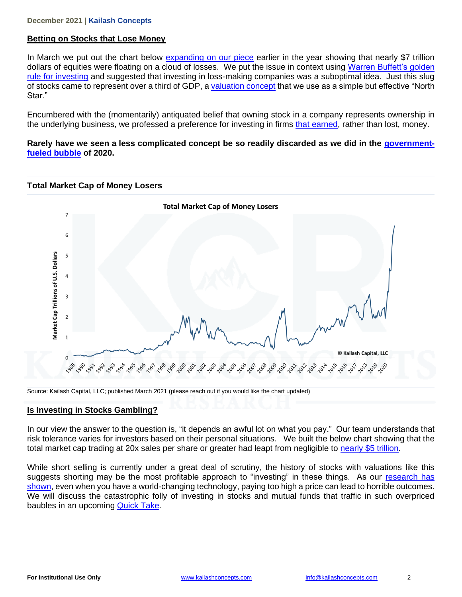#### **December 2021** | **Kailash Concepts**

## **Betting on Stocks that Lose Money**

**Total Market Cap of Money Losers**

In March we put out the chart below [expanding on our piece](https://kailashconcepts.com/losing-money-is-no-way-to-make-money/) earlier in the year showing that nearly \$7 trillion dollars of equities were floating on a cloud of losses. We put the issue in context using Warren Buffett's golden [rule for investing](https://kailashconcepts.com/how-to-learn-about-investing-in-stocks/) and suggested that investing in loss-making companies was a suboptimal idea. Just this slug of stocks came to represent over a third of GDP, a [valuation concept](https://kailashconcepts.com/warren-buffetts-market-cap-to-gdp/) that we use as a simple but effective "North Star."

Encumbered with the (momentarily) antiquated belief that owning stock in a company represents ownership in the underlying business, we professed a preference for investing in firms [that earned,](https://kailashconcepts.com/white-papers/oil-stocks-to-buy-a-preference-for-profits-over-promises/) rather than lost, money.

### **Rarely have we seen a less complicated concept be so readily discarded as we did in the [government](https://kailashconcepts.com/what-is-fixed-income-investing-today/)[fueled bubble](https://kailashconcepts.com/what-is-fixed-income-investing-today/) of 2020.**



Source: Kailash Capital, LLC; published March 2021 (please reach out if you would like the chart updated)

### **Is Investing in Stocks Gambling?**

In our view the answer to the question is, "it depends an awful lot on what you pay." Our team understands that risk tolerance varies for investors based on their personal situations. We built the below chart showing that the total market cap trading at 20x sales per share or greater had leapt from negligible to [nearly \\$5 trillion.](https://kailashconcepts.com/speculation-margin-of-safety-value-investing/)

While short selling is currently under a great deal of scrutiny, the history of stocks with valuations like this suggests shorting may be the most profitable approach to "investing" in these things. As our research has [shown,](https://kailashconcepts.com/white-papers/how-to-build-a-growth-stock-1999-today/) even when you have a world-changing technology, paying too high a price can lead to horrible outcomes. We will discuss the catastrophic folly of investing in stocks and mutual funds that traffic in such overpriced baubles in an upcoming [Quick Take.](https://kailashconcepts.com/quick-takes-for-the-curious/)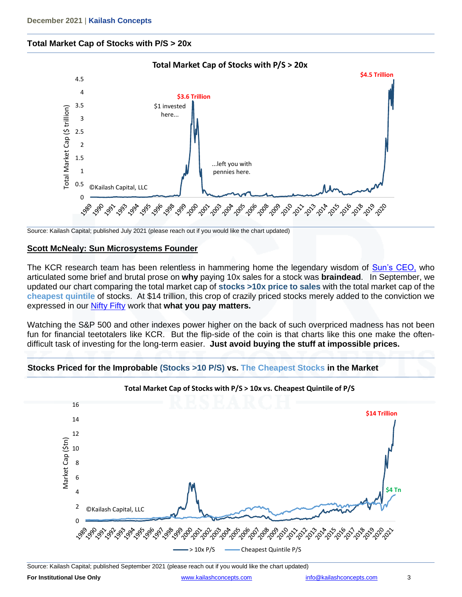# **Total Market Cap of Stocks with P/S > 20x**



Source: Kailash Capital; published July 2021 (please reach out if you would like the chart updated)

### **Scott McNealy: Sun Microsystems Founder**

The KCR research team has been relentless in hammering home the legendary wisdom of [Sun's CEO,](https://kailashconcepts.com/sun-microsystems-the-greatest-quote-the-rise-of-the-reckless/) who articulated some brief and brutal prose on **why** paying 10x sales for a stock was **braindead**. In September, we updated our chart comparing the total market cap of **stocks >10x price to sales** with the total market cap of the **cheapest quintile** of stocks. At \$14 trillion, this crop of crazily priced stocks merely added to the conviction we expressed in our [Nifty Fifty](https://kailashconcepts.com/white-papers/the-collision-of-arithmetic-over-optimism-why-todays-larger-cap-growth-is-more-precarious-than-the-nifty-fifty/) work that **what you pay matters.** 

Watching the S&P 500 and other indexes power higher on the back of such overpriced madness has not been fun for financial teetotalers like KCR. But the flip-side of the coin is that charts like this one make the oftendifficult task of investing for the long-term easier. **Just avoid buying the stuff at impossible prices.** 



**Stocks Priced for the Improbable (Stocks >10 P/S) vs. The Cheapest Stocks in the Market**

Source: Kailash Capital; published September 2021 (please reach out if you would like the chart updated)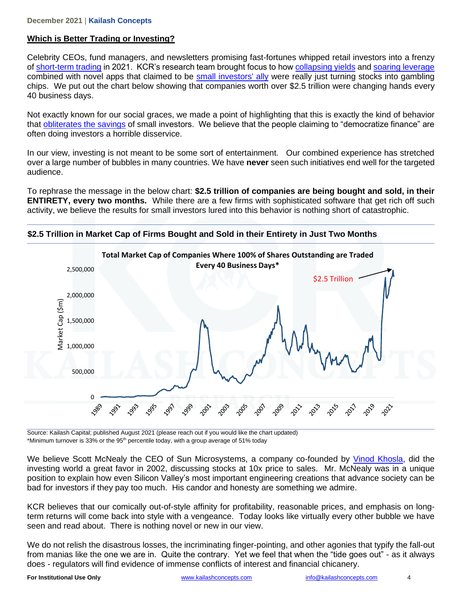# **Which is Better Trading or Investing?**

Celebrity CEOs, fund managers, and newsletters promising fast-fortunes whipped retail investors into a frenzy of [short-term trading](https://kailashconcepts.com/value-vs-volume-stocks-warren-buffet-and-robinhood/) in 2021. KCR's research team brought focus to how [collapsing yields](https://kailashconcepts.com/junk-stocks-funded-by-junk-bonds/) and [soaring leverage](https://kailashconcepts.com/debt-to-ebitda-is-out-of-control-the-next-gfc/) combined with novel apps that claimed to be small [investors' ally](https://kailashconcepts.com/best-stocks-for-a-recession-a-simple-solution/) were really just turning stocks into gambling chips. We put out the chart below showing that companies worth over \$2.5 trillion were changing hands every 40 business days.

Not exactly known for our social graces, we made a point of highlighting that this is exactly the kind of behavior that [obliterates the savings](https://kailashconcepts.com/how-to-get-started-day-trading-dont/) of small investors. We believe that the people claiming to "democratize finance" are often doing investors a horrible disservice.

In our view, investing is not meant to be some sort of entertainment. Our combined experience has stretched over a large number of bubbles in many countries. We have **never** seen such initiatives end well for the targeted audience.

To rephrase the message in the below chart: **\$2.5 trillion of companies are being bought and sold, in their ENTIRETY, every two months.** While there are a few firms with sophisticated software that get rich off such activity, we believe the results for small investors lured into this behavior is nothing short of catastrophic.



**\$2.5 Trillion in Market Cap of Firms Bought and Sold in their Entirety in Just Two Months**

Source: Kailash Capital; published August 2021 (please reach out if you would like the chart updated) \*Minimum turnover is 33% or the 95<sup>th</sup> percentile today, with a group average of 51% today

We believe Scott McNealy the CEO of Sun Microsystems, a company co-founded by [Vinod Khosla,](https://en.wikipedia.org/wiki/Vinod_Khosla) did the investing world a great favor in 2002, discussing stocks at 10x price to sales. Mr. McNealy was in a unique position to explain how even Silicon Valley's most important engineering creations that advance society can be bad for investors if they pay too much. His candor and honesty are something we admire.

KCR believes that our comically out-of-style affinity for profitability, reasonable prices, and emphasis on longterm returns will come back into style with a vengeance. Today looks like virtually every other bubble we have seen and read about. There is nothing novel or new in our view.

We do not relish the disastrous losses, the incriminating finger-pointing, and other agonies that typify the fall-out from manias like the one we are in. Quite the contrary. Yet we feel that when the "tide goes out" - as it always does - regulators will find evidence of immense conflicts of interest and financial chicanery.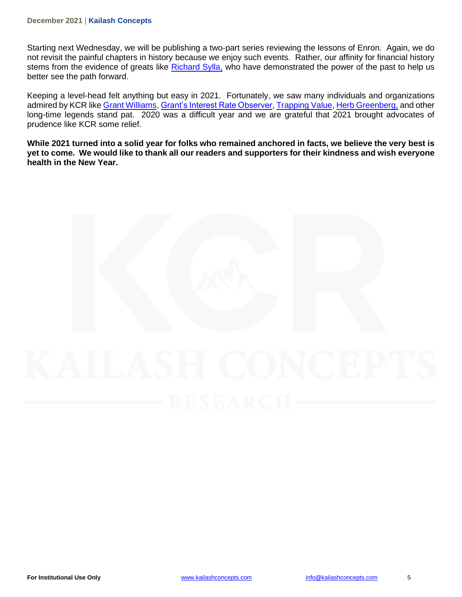#### **December 2021** | **Kailash Concepts**

Starting next Wednesday, we will be publishing a two-part series reviewing the lessons of Enron. Again, we do not revisit the painful chapters in history because we enjoy such events. Rather, our affinity for financial history stems from the evidence of greats like [Richard Sylla,](https://kailashconcepts.com/10-year-rolling-returns-a-warning/) who have demonstrated the power of the past to help us better see the path forward.

Keeping a level-head felt anything but easy in 2021. Fortunately, we saw many individuals and organizations admired by KCR lik[e Grant Williams,](https://www.grant-williams.com/) [Grant's Interest Rate Observer,](https://www.grantspub.com/) [Trapping Value,](https://seekingalpha.com/author/trapping-value#regular_articles) [Herb Greenberg,](https://empirefinancialresearch.com/about) and other long-time legends stand pat. 2020 was a difficult year and we are grateful that 2021 brought advocates of prudence like KCR some relief.

**While 2021 turned into a solid year for folks who remained anchored in facts, we believe the very best is yet to come. We would like to thank all our readers and supporters for their kindness and wish everyone health in the New Year.**